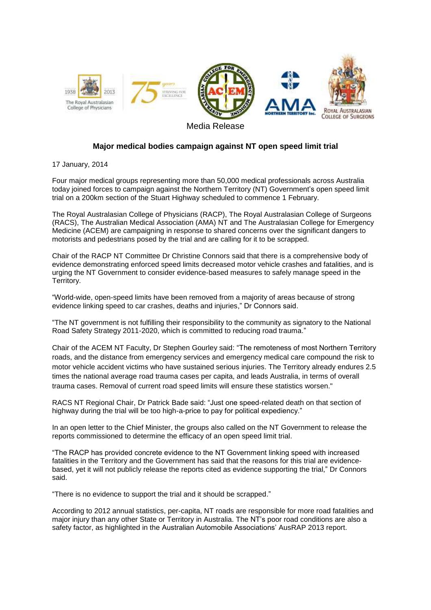

## **Major medical bodies campaign against NT open speed limit trial**

17 January, 2014

Four major medical groups representing more than 50,000 medical professionals across Australia today joined forces to campaign against the Northern Territory (NT) Government's open speed limit trial on a 200km section of the Stuart Highway scheduled to commence 1 February.

The Royal Australasian College of Physicians (RACP), The Royal Australasian College of Surgeons (RACS), The Australian Medical Association (AMA) NT and The Australasian College for Emergency Medicine (ACEM) are campaigning in response to shared concerns over the significant dangers to motorists and pedestrians posed by the trial and are calling for it to be scrapped.

Chair of the RACP NT Committee Dr Christine Connors said that there is a comprehensive body of evidence demonstrating enforced speed limits decreased motor vehicle crashes and fatalities, and is urging the NT Government to consider evidence-based measures to safely manage speed in the Territory.

"World-wide, open-speed limits have been removed from a majority of areas because of strong evidence linking speed to car crashes, deaths and injuries," Dr Connors said.

"The NT government is not fulfilling their responsibility to the community as signatory to the National Road Safety Strategy 2011-2020, which is committed to reducing road trauma."

Chair of the ACEM NT Faculty, Dr Stephen Gourley said: "The remoteness of most Northern Territory roads, and the distance from emergency services and emergency medical care compound the risk to motor vehicle accident victims who have sustained serious injuries. The Territory already endures 2.5 times the national average road trauma cases per capita, and leads Australia, in terms of overall trauma cases. Removal of current road speed limits will ensure these statistics worsen."

RACS NT Regional Chair, Dr Patrick Bade said: "Just one speed-related death on that section of highway during the trial will be too high-a-price to pay for political expediency."

In an open letter to the Chief Minister, the groups also called on the NT Government to release the reports commissioned to determine the efficacy of an open speed limit trial.

"The RACP has provided concrete evidence to the NT Government linking speed with increased fatalities in the Territory and the Government has said that the reasons for this trial are evidencebased, yet it will not publicly release the reports cited as evidence supporting the trial," Dr Connors said.

"There is no evidence to support the trial and it should be scrapped."

According to 2012 annual statistics, per-capita, NT roads are responsible for more road fatalities and major injury than any other State or Territory in Australia. The NT's poor road conditions are also a safety factor, as highlighted in the Australian Automobile Associations' AusRAP 2013 report.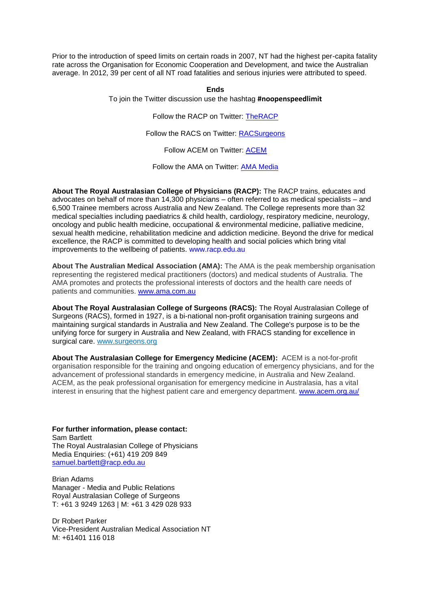Prior to the introduction of speed limits on certain roads in 2007, NT had the highest per-capita fatality rate across the Organisation for Economic Cooperation and Development, and twice the Australian average. In 2012, 39 per cent of all NT road fatalities and serious injuries were attributed to speed.

## **Ends**

To join the Twitter discussion use the hashtag **#noopenspeedlimit**

Follow the RACP on Twitter: [TheRACP](https://twitter.com/TheRACP)

Follow the RACS on Twitter: [RACSurgeons](https://twitter.com/RACSurgeons)

Follow ACEM on Twitter: [ACEM](https://twitter.com/acemonline)

Follow the AMA on Twitter: [AMA Media](https://twitter.com/ama_media)

**About The Royal Australasian College of Physicians (RACP):** The RACP trains, educates and advocates on behalf of more than 14,300 physicians – often referred to as medical specialists – and 6,500 Trainee members across Australia and New Zealand. The College represents more than 32 medical specialties including paediatrics & child health, cardiology, respiratory medicine, neurology, oncology and public health medicine, occupational & environmental medicine, palliative medicine, sexual health medicine, rehabilitation medicine and addiction medicine. Beyond the drive for medical excellence, the RACP is committed to developing health and social policies which bring vital improvements to the wellbeing of patients. www.racp.edu.au

**About The Australian Medical Association (AMA):** The AMA is the peak membership organisation representing the registered medical practitioners (doctors) and medical students of Australia. The AMA promotes and protects the professional interests of doctors and the health care needs of patients and communities. [www.ama.com.au](http://www.ama.com.au/)

**About The Royal Australasian College of Surgeons (RACS):** The Royal Australasian College of Surgeons (RACS), formed in 1927, is a bi-national non-profit organisation training surgeons and maintaining surgical standards in Australia and New Zealand. The College's purpose is to be the unifying force for surgery in Australia and New Zealand, with FRACS standing for excellence in surgical care. [www.surgeons.org](http://www.surgeons.org/)

**About The Australasian College for Emergency Medicine (ACEM):** ACEM is a not-for-profit organisation responsible for the training and ongoing education of emergency physicians, and for the advancement of professional standards in emergency medicine, in Australia and New Zealand. ACEM, as the peak professional organisation for emergency medicine in Australasia, has a vital interest in ensuring that the highest patient care and emergency department. [www.acem.org.au/](http://www.acem.org.au/%0d)

**For further information, please contact:**  Sam Bartlett The Royal Australasian College of Physicians Media Enquiries: (+61) 419 209 849 [samuel.bartlett@racp.edu.au](mailto:samuel.bartlett@racp.edu.au)

Brian Adams Manager - Media and Public Relations Royal Australasian College of Surgeons T: +61 3 9249 1263 | M: +61 3 429 028 933

Dr Robert Parker Vice-President Australian Medical Association NT M: +61401 116 018